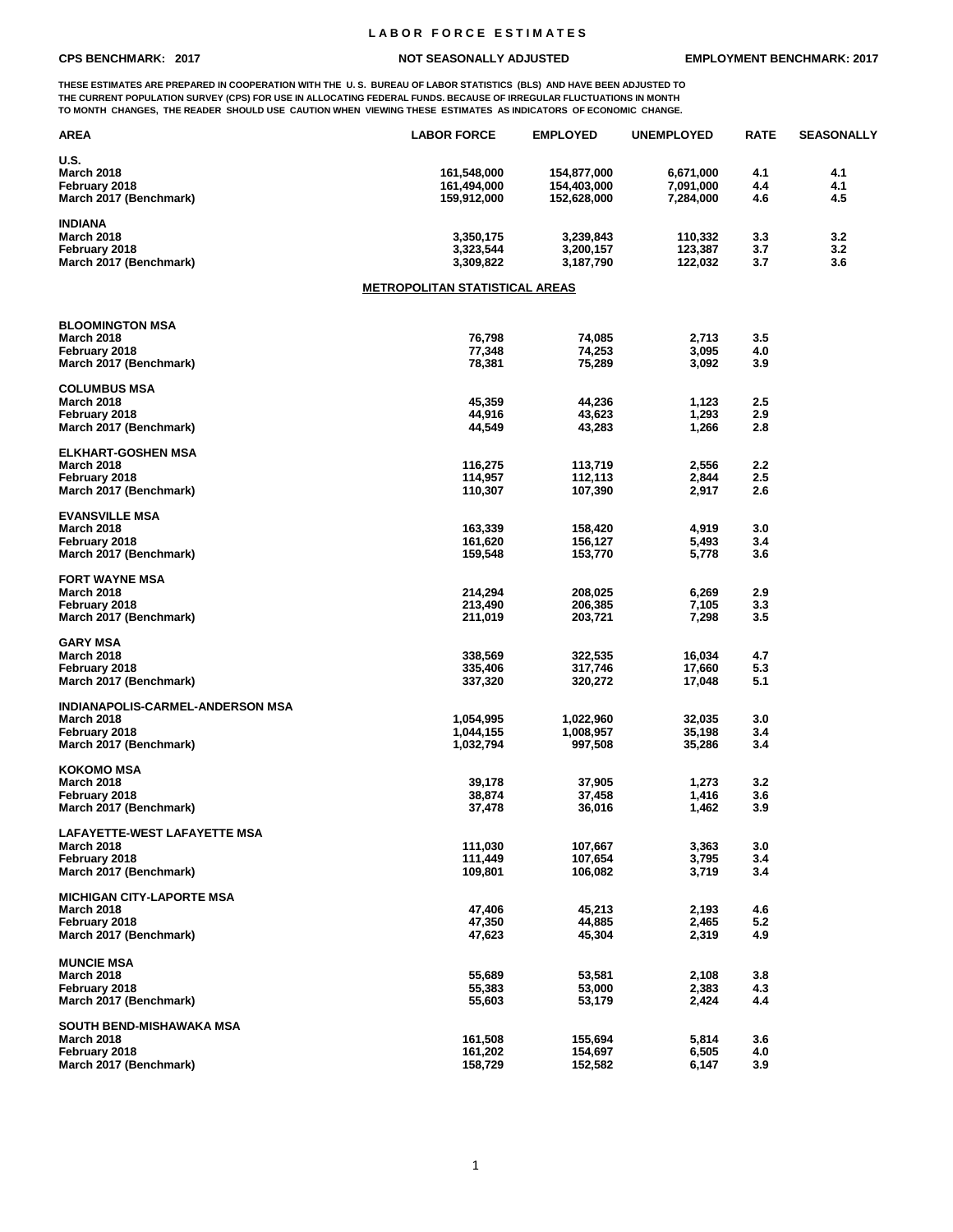## **L A B O R F O R C E E S T I M A T E S**

**THESE ESTIMATES ARE PREPARED IN COOPERATION WITH THE U. S. BUREAU OF LABOR STATISTICS (BLS) AND HAVE BEEN ADJUSTED TO THE CURRENT POPULATION SURVEY (CPS) FOR USE IN ALLOCATING FEDERAL FUNDS. BECAUSE OF IRREGULAR FLUCTUATIONS IN MONTH TO MONTH CHANGES, THE READER SHOULD USE CAUTION WHEN VIEWING THESE ESTIMATES AS INDICATORS OF ECONOMIC CHANGE.**

| <b>AREA</b>                             | <b>LABOR FORCE</b>                    | <b>EMPLOYED</b>      | <b>UNEMPLOYED</b> | <b>RATE</b> | <b>SEASONALLY</b> |
|-----------------------------------------|---------------------------------------|----------------------|-------------------|-------------|-------------------|
| <b>U.S.</b>                             |                                       |                      |                   |             |                   |
| <b>March 2018</b>                       | 161,548,000                           | 154,877,000          | 6,671,000         | 4.1         | 4.1               |
| February 2018                           | 161,494,000                           | 154,403,000          | 7,091,000         | 4.4         | 4.1               |
| March 2017 (Benchmark)                  | 159,912,000                           | 152,628,000          | 7,284,000         | 4.6         | 4.5               |
| <b>INDIANA</b>                          |                                       |                      |                   |             |                   |
| <b>March 2018</b>                       | 3,350,175                             | 3,239,843            | 110,332           | 3.3         | 3.2               |
| February 2018                           | 3,323,544                             | 3,200,157            | 123,387           | 3.7         | 3.2               |
| March 2017 (Benchmark)                  | 3,309,822                             | 3,187,790            | 122,032           | 3.7         | 3.6               |
|                                         | <b>METROPOLITAN STATISTICAL AREAS</b> |                      |                   |             |                   |
|                                         |                                       |                      |                   |             |                   |
| <b>BLOOMINGTON MSA</b>                  |                                       |                      |                   |             |                   |
| <b>March 2018</b>                       | 76,798                                | 74,085               | 2,713             | 3.5         |                   |
| February 2018                           | 77,348                                | 74,253               | 3,095             | 4.0         |                   |
| March 2017 (Benchmark)                  | 78,381                                | 75,289               | 3,092             | 3.9         |                   |
| <b>COLUMBUS MSA</b>                     |                                       |                      |                   |             |                   |
| <b>March 2018</b>                       | 45,359                                | 44,236               | 1,123             | 2.5         |                   |
| February 2018                           | 44,916                                | 43,623               | 1,293             | 2.9         |                   |
| March 2017 (Benchmark)                  | 44,549                                | 43,283               | 1,266             | 2.8         |                   |
| <b>ELKHART-GOSHEN MSA</b>               |                                       |                      |                   |             |                   |
| <b>March 2018</b>                       | 116,275                               | 113,719              | 2,556             | 2.2         |                   |
| February 2018                           | 114,957                               | 112,113              | 2,844             | 2.5         |                   |
| March 2017 (Benchmark)                  | 110,307                               | 107,390              | 2,917             | 2.6         |                   |
| <b>EVANSVILLE MSA</b>                   |                                       |                      |                   |             |                   |
| <b>March 2018</b>                       | 163,339                               | 158,420              | 4,919             | 3.0         |                   |
| February 2018                           | 161,620                               | 156,127              | 5,493             | 3.4         |                   |
| March 2017 (Benchmark)                  | 159,548                               | 153,770              | 5,778             | 3.6         |                   |
| <b>FORT WAYNE MSA</b>                   |                                       |                      |                   |             |                   |
| <b>March 2018</b>                       | 214,294                               | 208,025              | 6,269             | 2.9         |                   |
| February 2018                           | 213,490                               | 206,385              | 7,105             | 3.3         |                   |
| March 2017 (Benchmark)                  | 211,019                               | 203,721              | 7,298             | 3.5         |                   |
| <b>GARY MSA</b>                         |                                       |                      |                   |             |                   |
| <b>March 2018</b>                       | 338,569                               | 322,535              |                   | 4.7         |                   |
| February 2018                           | 335,406                               | 317,746              | 16,034<br>17,660  | 5.3         |                   |
| March 2017 (Benchmark)                  | 337,320                               | 320,272              | 17,048            | 5.1         |                   |
|                                         |                                       |                      |                   |             |                   |
| INDIANAPOLIS-CARMEL-ANDERSON MSA        |                                       |                      |                   |             |                   |
| <b>March 2018</b>                       | 1,054,995                             | 1,022,960            | 32,035            | 3.0         |                   |
| February 2018<br>March 2017 (Benchmark) | 1,044,155<br>1,032,794                | 1,008,957<br>997,508 | 35,198<br>35,286  | 3.4<br>3.4  |                   |
|                                         |                                       |                      |                   |             |                   |
| <b>KOKOMO MSA</b><br><b>March 2018</b>  | 39,178                                |                      |                   | 3.2         |                   |
|                                         |                                       | 37,905               | 1,273             |             |                   |
| February 2018<br>March 2017 (Benchmark) | 38,874<br>37,478                      | 37,458<br>36,016     | 1,416<br>1,462    | 3.6<br>3.9  |                   |
|                                         |                                       |                      |                   |             |                   |
| <b>LAFAYETTE-WEST LAFAYETTE MSA</b>     |                                       |                      |                   |             |                   |
| <b>March 2018</b>                       | 111,030                               | 107,667              | 3,363             | 3.0         |                   |
| February 2018                           | 111,449                               | 107,654              | 3,795             | 3.4         |                   |
| March 2017 (Benchmark)                  | 109,801                               | 106,082              | 3,719             | 3.4         |                   |
| <b>MICHIGAN CITY-LAPORTE MSA</b>        |                                       |                      |                   |             |                   |
| <b>March 2018</b>                       | 47,406                                | 45,213               | 2,193             | 4.6         |                   |
| February 2018                           | 47,350                                | 44,885               | 2,465             | 5.2         |                   |
| March 2017 (Benchmark)                  | 47,623                                | 45,304               | 2,319             | 4.9         |                   |
| <b>MUNCIE MSA</b>                       |                                       |                      |                   |             |                   |
| <b>March 2018</b>                       | 55,689                                | 53,581               | 2,108             | 3.8         |                   |
| February 2018                           | 55,383                                | 53,000               | 2,383             | 4.3         |                   |
| March 2017 (Benchmark)                  | 55,603                                | 53,179               | 2,424             | 4.4         |                   |
| SOUTH BEND-MISHAWAKA MSA                |                                       |                      |                   |             |                   |
| <b>March 2018</b>                       | 161,508                               | 155,694              | 5,814             | 3.6         |                   |
| February 2018                           | 161,202                               | 154,697              | 6,505             | 4.0         |                   |
| March 2017 (Benchmark)                  | 158,729                               | 152,582              | 6,147             | 3.9         |                   |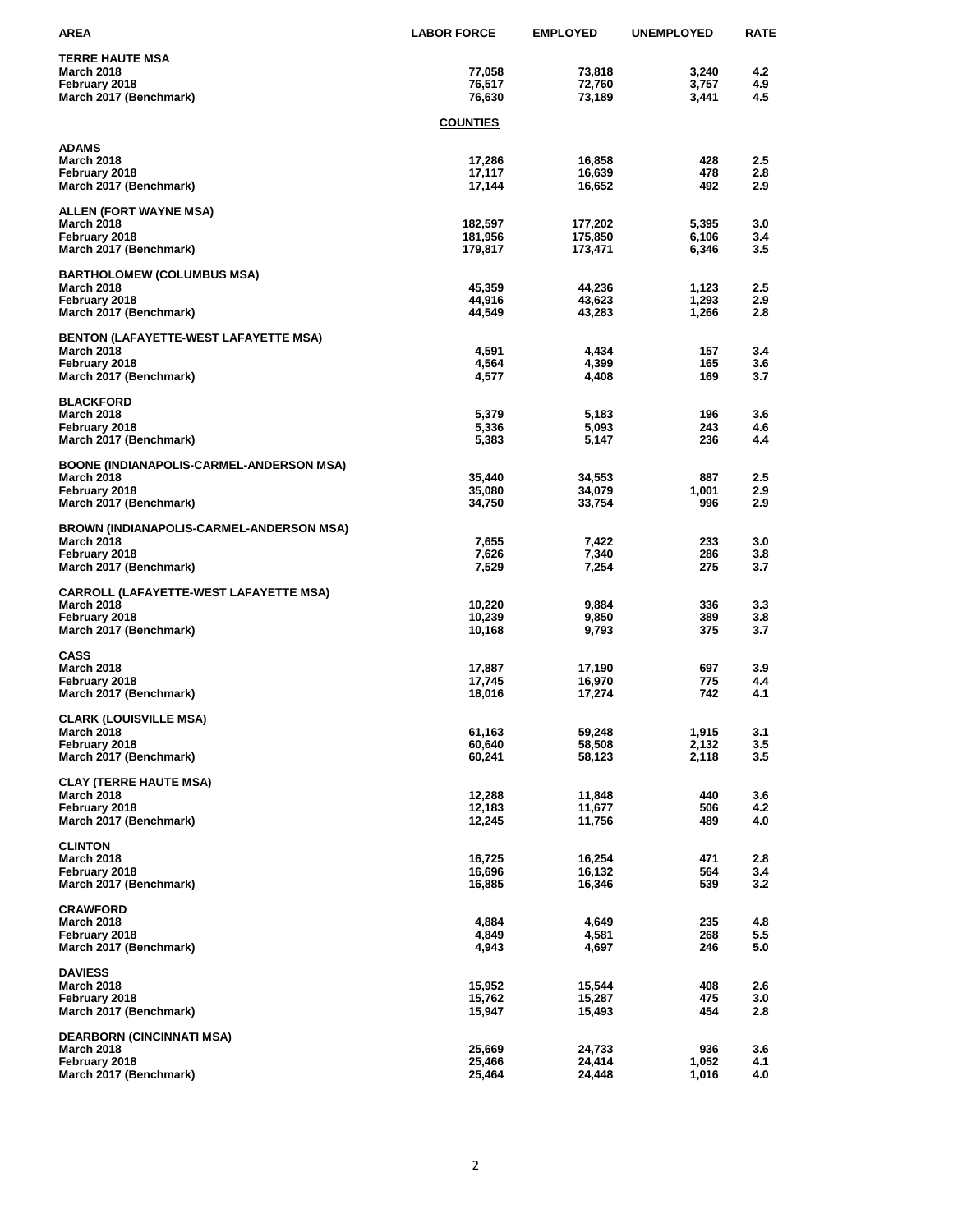| <b>AREA</b>                                     | <b>LABOR FORCE</b> | <b>EMPLOYED</b> | <b>UNEMPLOYED</b> | <b>RATE</b> |
|-------------------------------------------------|--------------------|-----------------|-------------------|-------------|
| <b>TERRE HAUTE MSA</b>                          |                    |                 |                   |             |
| <b>March 2018</b>                               | 77,058             | 73,818          | 3,240             | 4.2         |
| February 2018                                   | 76,517             | 72,760          | 3,757             | 4.9         |
| March 2017 (Benchmark)                          | 76,630             | 73,189          | 3,441             | 4.5         |
|                                                 | <b>COUNTIES</b>    |                 |                   |             |
| <b>ADAMS</b>                                    |                    |                 |                   |             |
| <b>March 2018</b>                               | 17,286             | 16,858          | 428               | 2.5         |
| February 2018                                   | 17,117             | 16,639          | 478               | 2.8         |
| March 2017 (Benchmark)                          | 17,144             | 16,652          | 492               | 2.9         |
| <b>ALLEN (FORT WAYNE MSA)</b>                   |                    |                 |                   |             |
| <b>March 2018</b>                               | 182,597            | 177,202         | 5,395             | 3.0         |
| February 2018                                   | 181,956            | 175,850         | 6,106             | 3.4         |
| March 2017 (Benchmark)                          | 179,817            | 173,471         | 6,346             | 3.5         |
| <b>BARTHOLOMEW (COLUMBUS MSA)</b>               |                    |                 |                   |             |
| <b>March 2018</b>                               | 45,359             | 44,236          | 1,123             | 2.5         |
| February 2018                                   | 44,916             | 43,623          | 1,293             | 2.9         |
| March 2017 (Benchmark)                          | 44,549             | 43,283          | 1,266             | 2.8         |
| <b>BENTON (LAFAYETTE-WEST LAFAYETTE MSA)</b>    |                    |                 |                   |             |
| <b>March 2018</b>                               | 4,591              | 4,434           | 157               | 3.4         |
| February 2018                                   | 4,564              | 4,399           | 165               | 3.6         |
| March 2017 (Benchmark)                          | 4,577              | 4,408           | 169               | 3.7         |
| <b>BLACKFORD</b>                                |                    |                 |                   |             |
| <b>March 2018</b>                               | 5,379              | 5,183           | 196               | 3.6         |
| February 2018                                   | 5,336              | 5,093           | 243               | 4.6         |
| March 2017 (Benchmark)                          | 5,383              | 5,147           | 236               | 4.4         |
| <b>BOONE (INDIANAPOLIS-CARMEL-ANDERSON MSA)</b> |                    |                 |                   |             |
| <b>March 2018</b>                               | 35,440             | 34,553          | 887               | 2.5         |
| February 2018                                   | 35,080             | 34,079          | 1,001             | 2.9         |
| March 2017 (Benchmark)                          | 34,750             | 33,754          | 996               | 2.9         |
| <b>BROWN (INDIANAPOLIS-CARMEL-ANDERSON MSA)</b> |                    |                 |                   |             |
| <b>March 2018</b>                               | 7,655              | 7,422           | 233               | 3.0         |
| February 2018<br>March 2017 (Benchmark)         | 7,626<br>7,529     | 7,340<br>7,254  | 286<br>275        | 3.8<br>3.7  |
|                                                 |                    |                 |                   |             |
| <b>CARROLL (LAFAYETTE-WEST LAFAYETTE MSA)</b>   |                    |                 |                   |             |
| <b>March 2018</b><br>February 2018              | 10,220<br>10,239   | 9,884<br>9,850  | 336<br>389        | 3.3<br>3.8  |
| March 2017 (Benchmark)                          | 10,168             | 9,793           | 375               | 3.7         |
| <b>CASS</b>                                     |                    |                 |                   |             |
| <b>March 2018</b>                               | 17,887             | 17,190          | 697               | 3.9         |
| February 2018                                   | 17,745             | 16,970          | 775               | 4.4         |
| March 2017 (Benchmark)                          | 18,016             | 17,274          | 742               | 4.1         |
| <b>CLARK (LOUISVILLE MSA)</b>                   |                    |                 |                   |             |
| <b>March 2018</b>                               | 61,163             | 59,248          | 1,915             | 3.1         |
| February 2018                                   | 60,640             | 58,508          | 2,132             | 3.5         |
| March 2017 (Benchmark)                          | 60,241             | 58,123          | 2,118             | 3.5         |
| <b>CLAY (TERRE HAUTE MSA)</b>                   |                    |                 |                   |             |
| <b>March 2018</b>                               | 12,288             | 11,848          | 440               | 3.6         |
| February 2018                                   | 12,183             | 11,677          | 506               | 4.2         |
| March 2017 (Benchmark)                          | 12,245             | 11,756          | 489               | 4.0         |
| <b>CLINTON</b>                                  |                    |                 |                   |             |
| <b>March 2018</b>                               | 16,725             | 16,254          | 471               | 2.8         |
| February 2018                                   | 16,696             | 16,132          | 564               | 3.4         |
| March 2017 (Benchmark)                          | 16,885             | 16,346          | 539               | 3.2         |
| <b>CRAWFORD</b>                                 |                    |                 |                   |             |
| <b>March 2018</b>                               | 4,884              | 4,649           | 235               | 4.8         |
| February 2018<br>March 2017 (Benchmark)         | 4,849<br>4,943     | 4,581<br>4,697  | 268<br>246        | 5.5<br>5.0  |
| <b>DAVIESS</b>                                  |                    |                 |                   |             |
| <b>March 2018</b>                               | 15,952             | 15,544          | 408               | 2.6         |
| February 2018                                   | 15,762             | 15,287          | 475               | 3.0         |
| March 2017 (Benchmark)                          | 15,947             | 15,493          | 454               | 2.8         |
| <b>DEARBORN (CINCINNATI MSA)</b>                |                    |                 |                   |             |
| <b>March 2018</b>                               | 25,669             | 24,733          | 936               | 3.6         |
| February 2018                                   | 25,466             | 24,414          | 1,052             | 4.1         |
| March 2017 (Benchmark)                          | 25,464             | 24,448          | 1,016             | 4.0         |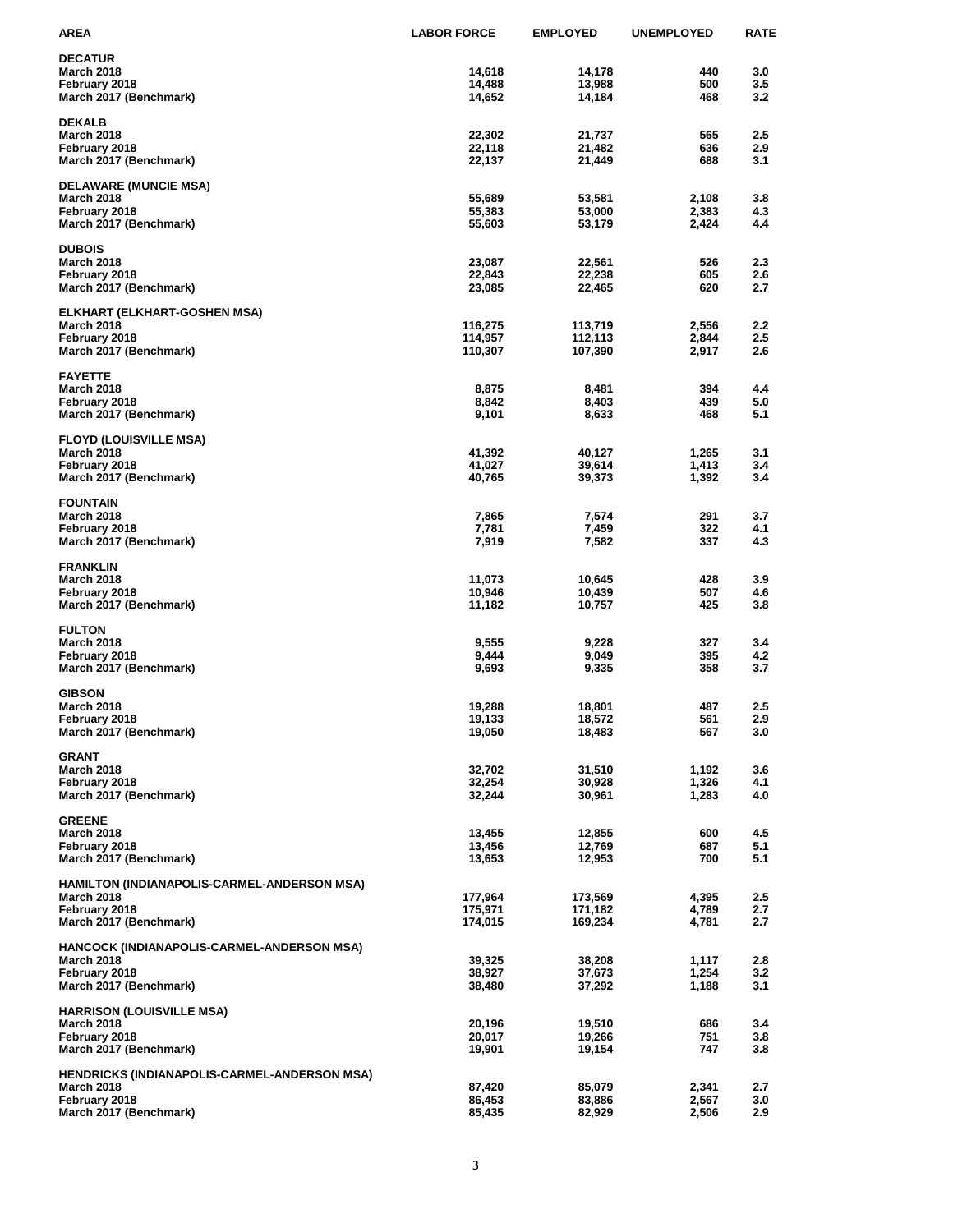| <b>AREA</b>                                              | <b>LABOR FORCE</b> | <b>EMPLOYED</b>    | <b>UNEMPLOYED</b> | <b>RATE</b> |
|----------------------------------------------------------|--------------------|--------------------|-------------------|-------------|
| <b>DECATUR</b>                                           |                    |                    |                   |             |
| <b>March 2018</b>                                        | 14,618             | 14,178             | 440               | 3.0         |
| February 2018                                            | 14,488             | 13,988             | 500               | 3.5         |
| March 2017 (Benchmark)                                   | 14,652             | 14,184             | 468               | 3.2         |
| <b>DEKALB</b>                                            |                    |                    |                   |             |
| <b>March 2018</b>                                        | 22,302             | 21,737             | 565               | 2.5         |
| February 2018<br>March 2017 (Benchmark)                  | 22,118<br>22,137   | 21,482<br>21,449   | 636<br>688        | 2.9<br>3.1  |
|                                                          |                    |                    |                   |             |
| <b>DELAWARE (MUNCIE MSA)</b>                             |                    |                    |                   |             |
| <b>March 2018</b>                                        | 55,689             | 53,581             | 2,108             | 3.8         |
| February 2018<br>March 2017 (Benchmark)                  | 55,383<br>55,603   | 53,000<br>53,179   | 2,383<br>2,424    | 4.3<br>4.4  |
|                                                          |                    |                    |                   |             |
| <b>DUBOIS</b>                                            |                    |                    |                   |             |
| <b>March 2018</b><br>February 2018                       | 23,087<br>22,843   | 22,561<br>22,238   | 526<br>605        | 2.3<br>2.6  |
| March 2017 (Benchmark)                                   | 23,085             | 22,465             | 620               | 2.7         |
|                                                          |                    |                    |                   |             |
| <b>ELKHART (ELKHART-GOSHEN MSA)</b><br><b>March 2018</b> | 116,275            |                    |                   |             |
| February 2018                                            | 114,957            | 113,719<br>112,113 | 2,556<br>2,844    | 2.2<br>2.5  |
| March 2017 (Benchmark)                                   | 110,307            | 107,390            | 2,917             | 2.6         |
|                                                          |                    |                    |                   |             |
| <b>FAYETTE</b><br><b>March 2018</b>                      |                    |                    | 394               | 4.4         |
| February 2018                                            | 8,875<br>8,842     | 8,481<br>8,403     | 439               | 5.0         |
| March 2017 (Benchmark)                                   | 9,101              | 8,633              | 468               | 5.1         |
|                                                          |                    |                    |                   |             |
| <b>FLOYD (LOUISVILLE MSA)</b><br><b>March 2018</b>       |                    |                    |                   | 3.1         |
| February 2018                                            | 41,392<br>41,027   | 40,127<br>39,614   | 1,265<br>1,413    | 3.4         |
| March 2017 (Benchmark)                                   | 40,765             | 39,373             | 1,392             | 3.4         |
|                                                          |                    |                    |                   |             |
| <b>FOUNTAIN</b><br><b>March 2018</b>                     |                    |                    |                   | 3.7         |
| February 2018                                            | 7,865<br>7,781     | 7,574<br>7,459     | 291<br>322        | 4.1         |
| March 2017 (Benchmark)                                   | 7,919              | 7,582              | 337               | 4.3         |
|                                                          |                    |                    |                   |             |
| <b>FRANKLIN</b><br><b>March 2018</b>                     | 11,073             | 10.645             | 428               | 3.9         |
| February 2018                                            | 10,946             | 10,439             | 507               | 4.6         |
| March 2017 (Benchmark)                                   | 11,182             | 10,757             | 425               | 3.8         |
|                                                          |                    |                    |                   |             |
| <b>FULTON</b><br><b>March 2018</b>                       | 9,555              | 9,228              | 327               | 3.4         |
| February 2018                                            | 9,444              | 9,049              | 395               | 4.2         |
| March 2017 (Benchmark)                                   | 9,693              | 9,335              | 358               | 3.7         |
| <b>GIBSON</b>                                            |                    |                    |                   |             |
| <b>March 2018</b>                                        | 19,288             | 18,801             | 487               | 2.5         |
| February 2018                                            | 19,133             | 18,572             | 561               | 2.9         |
| March 2017 (Benchmark)                                   | 19,050             | 18,483             | 567               | 3.0         |
| <b>GRANT</b>                                             |                    |                    |                   |             |
| <b>March 2018</b>                                        | 32,702             | 31,510             | 1,192             | 3.6         |
| February 2018                                            | 32,254             | 30,928             | 1,326             | 4.1         |
| March 2017 (Benchmark)                                   | 32,244             | 30,961             | 1,283             | 4.0         |
| <b>GREENE</b>                                            |                    |                    |                   |             |
| <b>March 2018</b>                                        | 13,455             | 12,855             | 600               | 4.5         |
| February 2018                                            | 13,456             | 12,769             | 687               | 5.1         |
| March 2017 (Benchmark)                                   | 13,653             | 12,953             | 700               | 5.1         |
| HAMILTON (INDIANAPOLIS-CARMEL-ANDERSON MSA)              |                    |                    |                   |             |
| <b>March 2018</b>                                        | 177,964            | 173,569            | 4,395             | 2.5         |
| February 2018                                            | 175,971            | 171,182            | 4,789             | 2.7         |
| March 2017 (Benchmark)                                   | 174,015            | 169,234            | 4,781             | 2.7         |
| HANCOCK (INDIANAPOLIS-CARMEL-ANDERSON MSA)               |                    |                    |                   |             |
| <b>March 2018</b>                                        | 39,325             | 38,208             | 1,117             | 2.8         |
| February 2018                                            | 38,927             | 37,673             | 1,254             | 3.2         |
| March 2017 (Benchmark)                                   | 38,480             | 37,292             | 1,188             | 3.1         |
| <b>HARRISON (LOUISVILLE MSA)</b>                         |                    |                    |                   |             |
| <b>March 2018</b>                                        | 20,196             | 19,510             | 686               | 3.4         |
| February 2018                                            | 20,017             | 19,266             | 751               | 3.8         |
| March 2017 (Benchmark)                                   | 19,901             | 19,154             | 747               | 3.8         |
| HENDRICKS (INDIANAPOLIS-CARMEL-ANDERSON MSA)             |                    |                    |                   |             |
| <b>March 2018</b>                                        | 87,420             | 85,079             | 2,341             | 2.7         |
| February 2018                                            | 86,453             | 83,886             | 2,567             | 3.0         |
| March 2017 (Benchmark)                                   | 85,435             | 82,929             | 2,506             | 2.9         |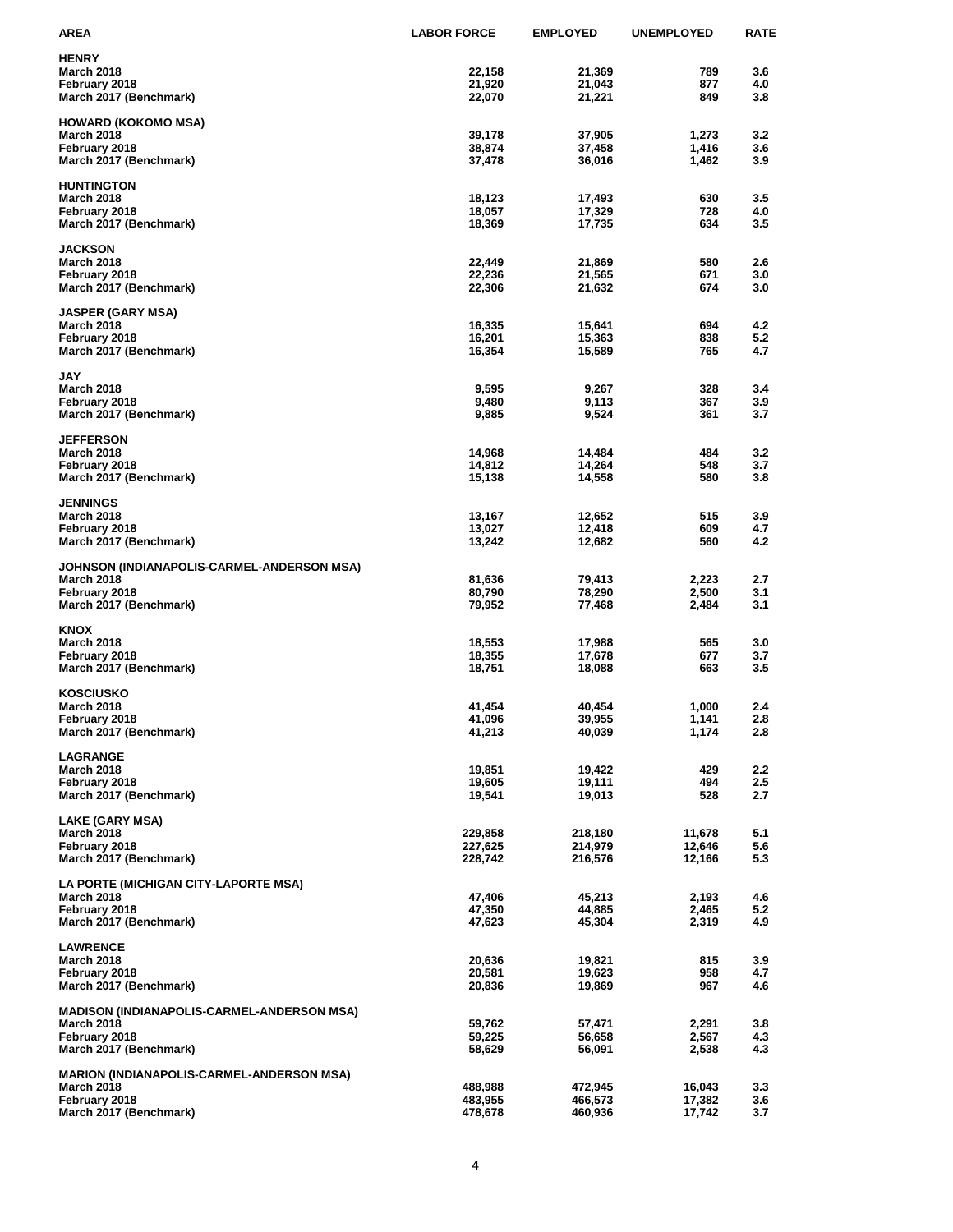| <b>AREA</b>                                               | <b>LABOR FORCE</b> | <b>EMPLOYED</b>    | <b>UNEMPLOYED</b> | <b>RATE</b> |
|-----------------------------------------------------------|--------------------|--------------------|-------------------|-------------|
| <b>HENRY</b>                                              |                    |                    |                   |             |
| <b>March 2018</b>                                         | 22,158             | 21,369             | 789               | 3.6         |
| February 2018                                             | 21,920             | 21,043             | 877               | 4.0         |
| March 2017 (Benchmark)                                    | 22,070             | 21,221             | 849               | 3.8         |
| <b>HOWARD (KOKOMO MSA)</b>                                |                    |                    |                   |             |
| <b>March 2018</b>                                         | 39,178             | 37,905             | 1,273             | 3.2         |
| February 2018<br>March 2017 (Benchmark)                   | 38,874<br>37,478   | 37,458<br>36,016   | 1,416<br>1,462    | 3.6<br>3.9  |
|                                                           |                    |                    |                   |             |
| <b>HUNTINGTON</b>                                         |                    |                    |                   |             |
| <b>March 2018</b>                                         | 18,123             | 17,493             | 630               | 3.5         |
| February 2018<br>March 2017 (Benchmark)                   | 18,057<br>18,369   | 17,329<br>17,735   | 728<br>634        | 4.0<br>3.5  |
|                                                           |                    |                    |                   |             |
| <b>JACKSON</b>                                            |                    |                    |                   |             |
| <b>March 2018</b><br>February 2018                        | 22,449<br>22,236   | 21,869<br>21,565   | 580<br>671        | 2.6<br>3.0  |
| March 2017 (Benchmark)                                    | 22,306             | 21,632             | 674               | 3.0         |
|                                                           |                    |                    |                   |             |
| <b>JASPER (GARY MSA)</b><br><b>March 2018</b>             | 16,335             |                    | 694               | 4.2         |
| February 2018                                             | 16,201             | 15,641<br>15,363   | 838               | 5.2         |
| March 2017 (Benchmark)                                    | 16,354             | 15,589             | 765               | 4.7         |
|                                                           |                    |                    |                   |             |
| <b>JAY</b><br><b>March 2018</b>                           | 9,595              | 9,267              | 328               | 3.4         |
| February 2018                                             | 9,480              | 9,113              | 367               | 3.9         |
| March 2017 (Benchmark)                                    | 9,885              | 9,524              | 361               | 3.7         |
| <b>JEFFERSON</b>                                          |                    |                    |                   |             |
| <b>March 2018</b>                                         | 14,968             | 14,484             | 484               | 3.2         |
| February 2018                                             | 14,812             | 14,264             | 548               | 3.7         |
| March 2017 (Benchmark)                                    | 15,138             | 14,558             | 580               | 3.8         |
| <b>JENNINGS</b>                                           |                    |                    |                   |             |
| <b>March 2018</b>                                         | 13,167             | 12,652             | 515               | 3.9         |
| February 2018                                             | 13,027             | 12,418             | 609               | 4.7         |
| March 2017 (Benchmark)                                    | 13,242             | 12,682             | 560               | 4.2         |
| JOHNSON (INDIANAPOLIS-CARMEL-ANDERSON MSA)                |                    |                    |                   |             |
| <b>March 2018</b>                                         | 81,636             | 79,413             | 2,223             | 2.7         |
| February 2018                                             | 80,790             | 78,290             | 2,500             | 3.1         |
| March 2017 (Benchmark)                                    | 79,952             | 77,468             | 2,484             | 3.1         |
| <b>KNOX</b>                                               |                    |                    |                   |             |
| <b>March 2018</b>                                         | 18,553             | 17,988             | 565               | 3.0         |
| February 2018                                             | 18,355             | 17,678             | 677               | 3.7         |
| March 2017 (Benchmark)                                    | 18,751             | 18,088             | 663               | 3.5         |
| <b>KOSCIUSKO</b>                                          |                    |                    |                   |             |
| <b>March 2018</b>                                         | 41,454             | 40,454             | 1,000             | 2.4         |
| February 2018                                             | 41,096             | 39,955             | 1,141             | 2.8<br>2.8  |
| March 2017 (Benchmark)                                    | 41,213             | 40,039             | 1,174             |             |
| <b>LAGRANGE</b>                                           |                    |                    |                   |             |
| <b>March 2018</b>                                         | 19,851             | 19,422             | 429               | 2.2         |
| February 2018<br>March 2017 (Benchmark)                   | 19,605<br>19,541   | 19,111<br>19,013   | 494<br>528        | 2.5<br>2.7  |
|                                                           |                    |                    |                   |             |
| LAKE (GARY MSA)                                           |                    |                    |                   |             |
| <b>March 2018</b><br>February 2018                        | 229,858<br>227,625 | 218,180<br>214,979 | 11,678<br>12,646  | 5.1<br>5.6  |
| March 2017 (Benchmark)                                    | 228,742            | 216,576            | 12,166            | 5.3         |
|                                                           |                    |                    |                   |             |
| LA PORTE (MICHIGAN CITY-LAPORTE MSA)<br><b>March 2018</b> | 47,406             | 45,213             | 2,193             | 4.6         |
| February 2018                                             | 47,350             | 44,885             | 2,465             | 5.2         |
| March 2017 (Benchmark)                                    | 47,623             | 45,304             | 2,319             | 4.9         |
|                                                           |                    |                    |                   |             |
| <b>LAWRENCE</b><br><b>March 2018</b>                      | 20,636             | 19,821             | 815               | 3.9         |
| February 2018                                             | 20,581             | 19,623             | 958               | 4.7         |
| March 2017 (Benchmark)                                    | 20,836             | 19,869             | 967               | 4.6         |
| <b>MADISON (INDIANAPOLIS-CARMEL-ANDERSON MSA)</b>         |                    |                    |                   |             |
| <b>March 2018</b>                                         | 59,762             | 57,471             | 2,291             | 3.8         |
| February 2018                                             | 59,225             | 56,658             | 2,567             | 4.3         |
| March 2017 (Benchmark)                                    | 58,629             | 56,091             | 2,538             | 4.3         |
| <b>MARION (INDIANAPOLIS-CARMEL-ANDERSON MSA)</b>          |                    |                    |                   |             |
| <b>March 2018</b>                                         | 488,988            | 472,945            | 16,043            | 3.3         |
| February 2018                                             | 483,955            | 466,573<br>460,936 | 17,382            | 3.6<br>3.7  |
| March 2017 (Benchmark)                                    | 478,678            |                    | 17,742            |             |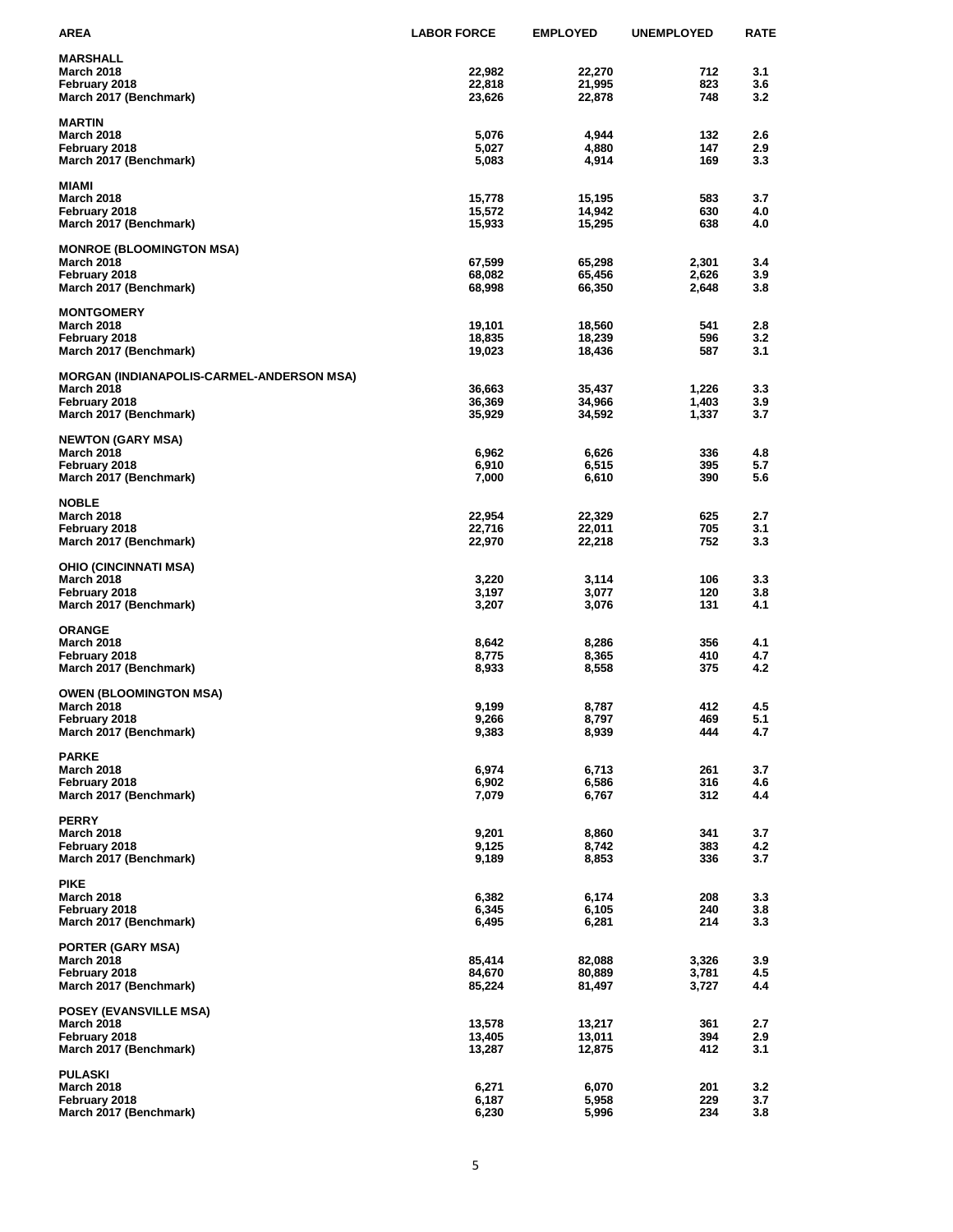| <b>AREA</b>                                      | <b>LABOR FORCE</b> | <b>EMPLOYED</b> | <b>UNEMPLOYED</b> | <b>RATE</b> |
|--------------------------------------------------|--------------------|-----------------|-------------------|-------------|
| <b>MARSHALL</b>                                  |                    |                 |                   |             |
| <b>March 2018</b>                                | 22,982             | 22,270          | 712               | 3.1         |
| February 2018                                    | 22,818             | 21,995          | 823               | 3.6         |
| March 2017 (Benchmark)                           | 23,626             | 22,878          | 748               | 3.2         |
| <b>MARTIN</b>                                    |                    |                 |                   |             |
| <b>March 2018</b>                                | 5,076              | 4,944           | 132               | 2.6         |
| February 2018                                    | 5,027              | 4,880           | 147               | 2.9         |
| March 2017 (Benchmark)                           | 5,083              | 4,914           | 169               | 3.3         |
| <b>MIAMI</b>                                     |                    |                 |                   |             |
| <b>March 2018</b>                                | 15,778             | 15,195          | 583               | 3.7         |
| February 2018                                    | 15,572             | 14,942          | 630               | 4.0         |
| March 2017 (Benchmark)                           | 15,933             | 15,295          | 638               | 4.0         |
| <b>MONROE (BLOOMINGTON MSA)</b>                  |                    |                 |                   |             |
| <b>March 2018</b>                                | 67,599             | 65,298          | 2,301             | 3.4         |
| February 2018                                    | 68,082             | 65,456          | 2,626             | 3.9         |
| March 2017 (Benchmark)                           | 68,998             | 66,350          | 2,648             | 3.8         |
| <b>MONTGOMERY</b>                                |                    |                 |                   |             |
| <b>March 2018</b>                                | 19,101             | 18,560          | 541               | 2.8         |
| February 2018                                    | 18,835             | 18,239          | 596               | 3.2         |
| March 2017 (Benchmark)                           | 19,023             | 18,436          | 587               | 3.1         |
| <b>MORGAN (INDIANAPOLIS-CARMEL-ANDERSON MSA)</b> |                    |                 |                   |             |
| <b>March 2018</b>                                | 36,663             | 35,437          | 1,226             | 3.3         |
| February 2018                                    | 36,369             | 34,966          | 1,403             | 3.9         |
| March 2017 (Benchmark)                           | 35,929             | 34,592          | 1,337             | 3.7         |
| <b>NEWTON (GARY MSA)</b>                         |                    |                 |                   |             |
| <b>March 2018</b>                                | 6,962              | 6,626           | 336               | 4.8         |
| February 2018                                    | 6,910              | 6,515           | 395               | 5.7         |
| March 2017 (Benchmark)                           | 7,000              | 6,610           | 390               | 5.6         |
| <b>NOBLE</b>                                     |                    |                 |                   |             |
| <b>March 2018</b>                                | 22,954             | 22,329          | 625               | 2.7         |
| February 2018                                    | 22,716             | 22,011          | 705               | 3.1         |
| March 2017 (Benchmark)                           | 22,970             | 22,218          | 752               | 3.3         |
| <b>OHIO (CINCINNATI MSA)</b>                     |                    |                 |                   |             |
| <b>March 2018</b>                                | 3,220              | 3,114           | 106               | 3.3         |
| February 2018                                    | 3,197              | 3,077           | 120               | 3.8         |
| March 2017 (Benchmark)                           | 3,207              | 3,076           | 131               | 4.1         |
| <b>ORANGE</b>                                    |                    |                 |                   |             |
| <b>March 2018</b>                                | 8,642              | 8,286           | 356               | 4.1         |
| February 2018                                    | 8,775              | 8,365           | 410               | 4.7         |
| March 2017 (Benchmark)                           | 8,933              | 8,558           | 375               | 4.2         |
| <b>OWEN (BLOOMINGTON MSA)</b>                    |                    |                 |                   |             |
| <b>March 2018</b>                                | 9,199              | 8,787           | 412               | 4.5         |
| February 2018                                    | 9,266              | 8,797           | 469               | 5.1         |
| March 2017 (Benchmark)                           | 9,383              | 8,939           | 444               | 4.7         |
| <b>PARKE</b>                                     |                    |                 |                   |             |
| <b>March 2018</b>                                | 6,974              | 6,713           | 261               | 3.7         |
| February 2018                                    | 6,902              | 6,586           | 316               | 4.6         |
| March 2017 (Benchmark)                           | 7,079              | 6,767           | 312               | 4.4         |
| <b>PERRY</b>                                     |                    |                 |                   |             |
| <b>March 2018</b>                                | 9,201              | 8,860           | 341               | 3.7         |
| February 2018                                    | 9,125              | 8,742           | 383               | 4.2         |
| March 2017 (Benchmark)                           | 9,189              | 8,853           | 336               | 3.7         |
| <b>PIKE</b>                                      |                    |                 |                   |             |
| <b>March 2018</b>                                | 6,382              | 6,174           | 208               | 3.3         |
| February 2018                                    | 6,345              | 6,105           | 240               | 3.8         |
| March 2017 (Benchmark)                           | 6,495              | 6,281           | 214               | 3.3         |
| <b>PORTER (GARY MSA)</b>                         |                    |                 |                   |             |
| <b>March 2018</b>                                | 85,414             | 82,088          | 3,326             | 3.9         |
| February 2018                                    | 84,670             | 80,889          | 3,781             | 4.5         |
| March 2017 (Benchmark)                           | 85,224             | 81,497          | 3,727             | 4.4         |
| <b>POSEY (EVANSVILLE MSA)</b>                    |                    |                 |                   |             |
| <b>March 2018</b>                                | 13,578             | 13,217          | 361               | 2.7         |
| February 2018                                    | 13,405             | 13,011          | 394               | 2.9         |
| March 2017 (Benchmark)                           | 13,287             | 12,875          | 412               | 3.1         |
| <b>PULASKI</b>                                   |                    |                 |                   |             |
| <b>March 2018</b>                                | 6,271              | 6,070           | 201               | 3.2         |
| February 2018<br>March 2017 (Benchmark)          | 6,187<br>6,230     | 5,958<br>5,996  | 229<br>234        | 3.7<br>3.8  |
|                                                  |                    |                 |                   |             |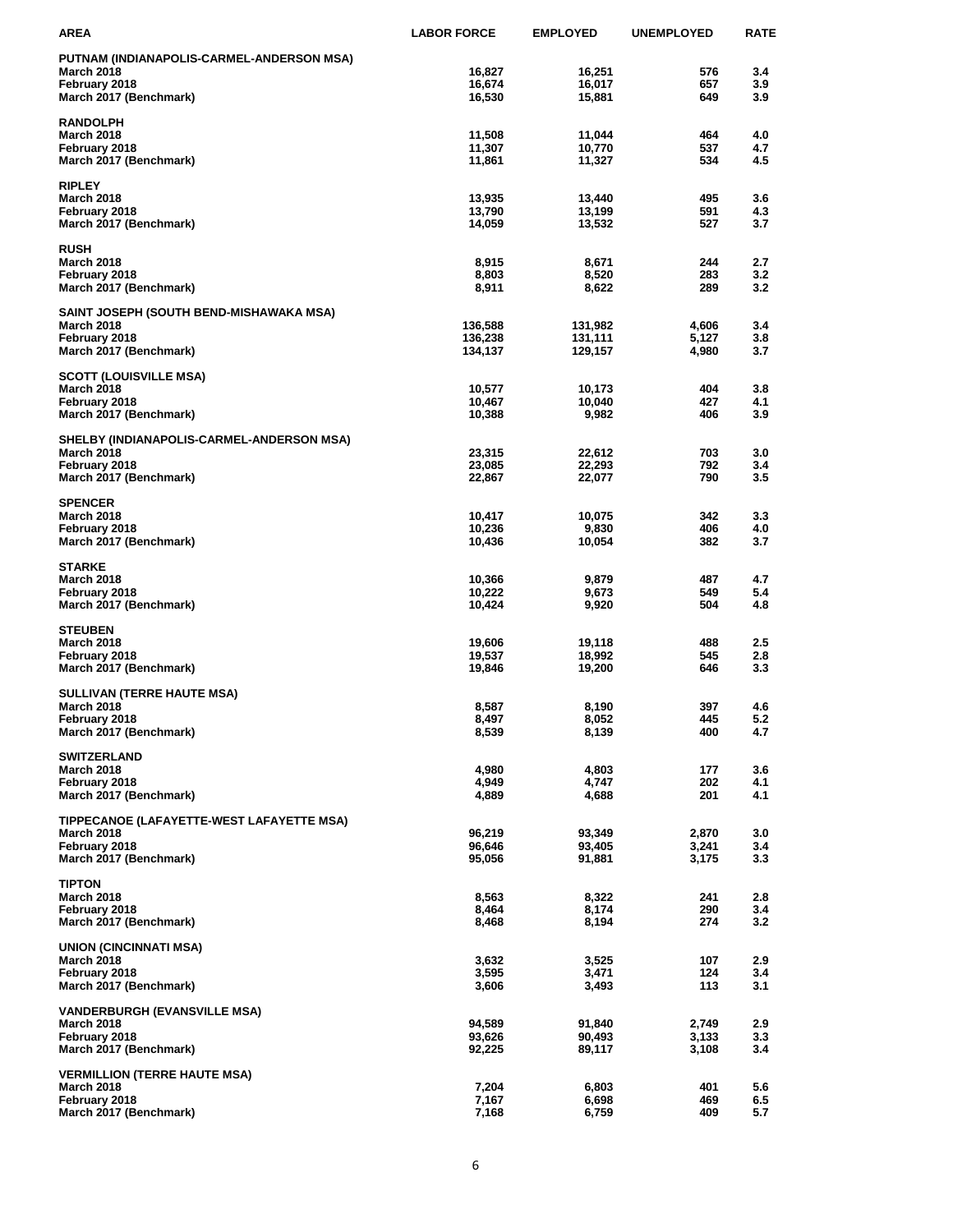| AREA                                      | <b>LABOR FORCE</b> | <b>EMPLOYED</b> | <b>UNEMPLOYED</b> | <b>RATE</b> |
|-------------------------------------------|--------------------|-----------------|-------------------|-------------|
| PUTNAM (INDIANAPOLIS-CARMEL-ANDERSON MSA) |                    |                 |                   |             |
| March 2018                                | 16,827             | 16,251          | 576               | 3.4         |
| February 2018                             | 16,674             | 16,017          | 657               | 3.9         |
| March 2017 (Benchmark)                    | 16,530             | 15,881          | 649               | 3.9         |
| <b>RANDOLPH</b>                           |                    |                 |                   |             |
| <b>March 2018</b>                         | 11,508             | 11,044          | 464               | 4.0         |
| February 2018                             | 11,307             | 10,770          | 537               | 4.7         |
| March 2017 (Benchmark)                    | 11,861             | 11,327          | 534               | 4.5         |
| <b>RIPLEY</b>                             |                    |                 |                   |             |
| March 2018                                | 13,935             | 13,440          | 495               | 3.6         |
| February 2018                             | 13,790             | 13,199          | 591               | 4.3         |
| March 2017 (Benchmark)                    | 14,059             | 13,532          | 527               | 3.7         |
| <b>RUSH</b>                               |                    |                 |                   |             |
| <b>March 2018</b>                         | 8,915              | 8,671           | 244               | 2.7         |
| February 2018                             | 8,803              | 8,520           | 283               | 3.2         |
| March 2017 (Benchmark)                    | 8,911              | 8,622           | 289               | 3.2         |
| SAINT JOSEPH (SOUTH BEND-MISHAWAKA MSA)   |                    |                 |                   |             |
| <b>March 2018</b>                         | 136,588            | 131,982         | 4,606             | 3.4         |
| February 2018                             | 136,238            | 131,111         | 5,127             | 3.8         |
| March 2017 (Benchmark)                    | 134,137            | 129,157         | 4,980             | 3.7         |
| <b>SCOTT (LOUISVILLE MSA)</b>             |                    |                 |                   |             |
| <b>March 2018</b>                         | 10,577             | 10,173          | 404               | 3.8         |
| February 2018                             | 10,467             | 10,040          | 427               | 4.1         |
| March 2017 (Benchmark)                    | 10,388             | 9,982           | 406               | 3.9         |
| SHELBY (INDIANAPOLIS-CARMEL-ANDERSON MSA) |                    |                 |                   |             |
| <b>March 2018</b>                         | 23,315             | 22,612          | 703               | 3.0         |
| February 2018                             | 23,085             | 22,293          | 792               | 3.4         |
| March 2017 (Benchmark)                    | 22,867             | 22,077          | 790               | 3.5         |
| <b>SPENCER</b>                            |                    |                 |                   |             |
| <b>March 2018</b>                         | 10,417             | 10,075          | 342               | 3.3         |
| February 2018                             | 10,236             | 9,830           | 406               | 4.0         |
| March 2017 (Benchmark)                    | 10,436             | 10,054          | 382               | 3.7         |
| <b>STARKE</b>                             |                    |                 |                   |             |
| <b>March 2018</b>                         | 10,366             | 9,879           | 487               | 4.7         |
| February 2018                             | 10,222             | 9,673           | 549               | 5.4         |
| March 2017 (Benchmark)                    | 10,424             | 9,920           | 504               | 4.8         |
| <b>STEUBEN</b>                            |                    |                 |                   |             |
| March 2018                                | 19,606             | 19,118          | 488               | 2.5         |
| February 2018                             | 19,537             | 18,992          | 545               | 2.8         |
| March 2017 (Benchmark)                    | 19,846             | 19,200          | 646               | 3.3         |
| <b>SULLIVAN (TERRE HAUTE MSA)</b>         |                    |                 |                   |             |
| <b>March 2018</b>                         | 8,587              | 8,190           | 397               | 4.6         |
| February 2018                             | 8,497              | 8,052           | 445               | 5.2         |
| March 2017 (Benchmark)                    | 8,539              | 8,139           | 400               | 4.7         |
| <b>SWITZERLAND</b>                        |                    |                 |                   |             |
| March 2018                                | 4,980              | 4,803           | 177               | 3.6         |
| February 2018                             | 4,949              | 4,747           | 202               | 4.1         |
| March 2017 (Benchmark)                    | 4,889              | 4,688           | 201               | 4.1         |
| TIPPECANOE (LAFAYETTE-WEST LAFAYETTE MSA) |                    |                 |                   |             |
| <b>March 2018</b>                         | 96,219             | 93,349          | 2,870             | 3.0         |
| February 2018                             | 96,646             | 93,405          | 3,241             | 3.4         |
| March 2017 (Benchmark)                    | 95,056             | 91,881          | 3,175             | 3.3         |
| <b>TIPTON</b>                             |                    |                 |                   |             |
| <b>March 2018</b>                         | 8,563              | 8,322           | 241               | 2.8         |
| February 2018                             | 8,464              | 8,174           | 290               | 3.4         |
| March 2017 (Benchmark)                    | 8,468              | 8,194           | 274               | 3.2         |
| <b>UNION (CINCINNATI MSA)</b>             |                    |                 |                   |             |
| <b>March 2018</b>                         | 3,632              | 3,525           | 107               | 2.9         |
| February 2018                             | 3,595              | 3,471           | 124               | 3.4         |
| March 2017 (Benchmark)                    | 3,606              | 3,493           | 113               | 3.1         |
| <b>VANDERBURGH (EVANSVILLE MSA)</b>       |                    |                 |                   |             |
| <b>March 2018</b>                         | 94,589             | 91,840          | 2,749             | 2.9         |
| February 2018                             | 93,626             | 90,493          | 3,133             | 3.3         |
| March 2017 (Benchmark)                    | 92,225             | 89,117          | 3,108             | 3.4         |
| <b>VERMILLION (TERRE HAUTE MSA)</b>       |                    |                 |                   |             |
| March 2018                                | 7,204              | 6,803           | 401               | 5.6         |
| February 2018<br>March 2017 (Benchmark)   | 7,167<br>7,168     | 6,698<br>6,759  | 469<br>409        | 6.5<br>5.7  |
|                                           |                    |                 |                   |             |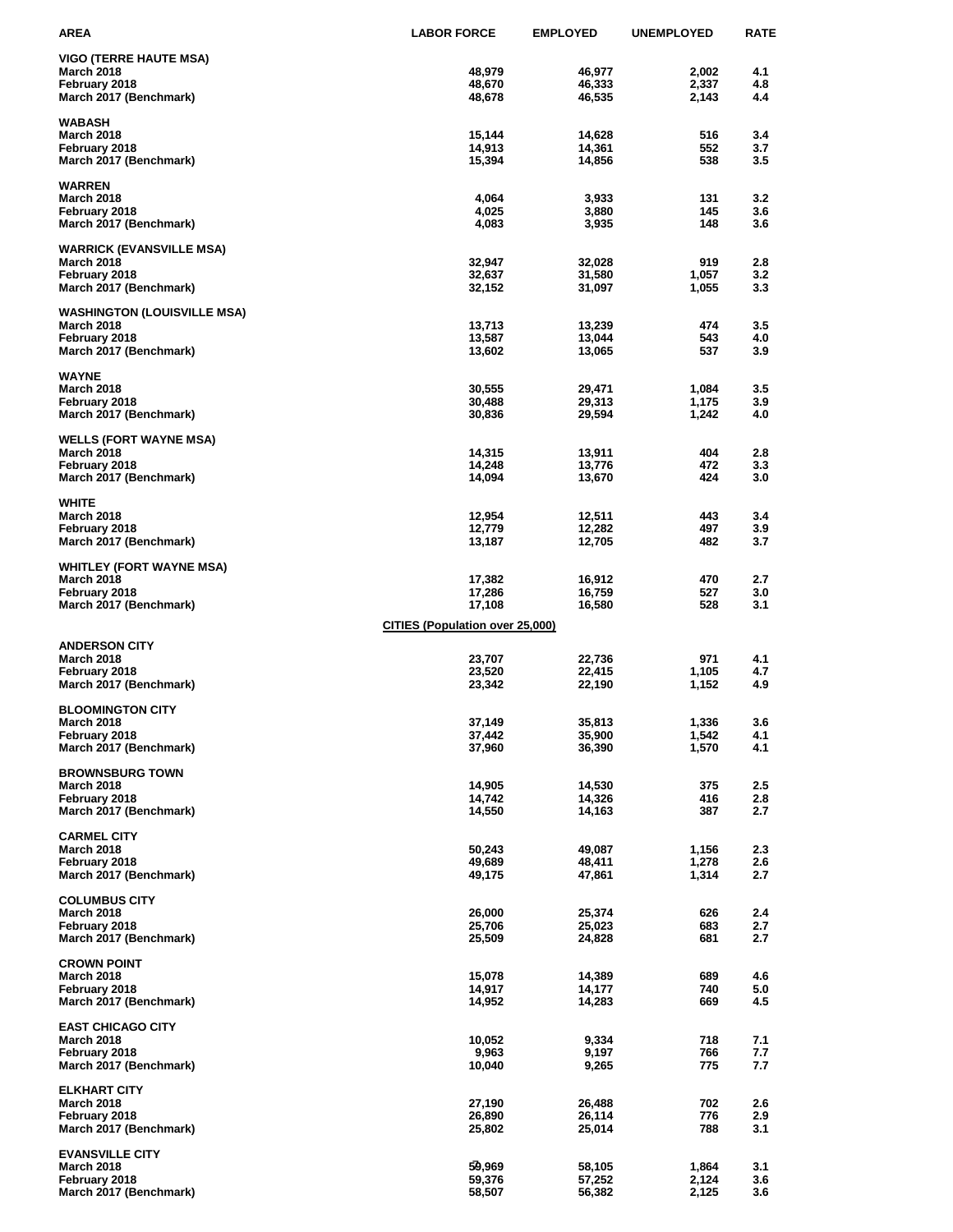| <b>AREA</b>                                        | <b>LABOR FORCE</b>                     | <b>EMPLOYED</b>  | <b>UNEMPLOYED</b> | <b>RATE</b> |
|----------------------------------------------------|----------------------------------------|------------------|-------------------|-------------|
| <b>VIGO (TERRE HAUTE MSA)</b>                      |                                        |                  |                   |             |
| <b>March 2018</b>                                  | 48,979                                 | 46,977           | 2,002             | 4.1         |
| February 2018                                      | 48,670                                 | 46,333           | 2,337             | 4.8         |
| March 2017 (Benchmark)                             | 48,678                                 | 46,535           | 2,143             | 4.4         |
|                                                    |                                        |                  |                   |             |
| <b>WABASH</b><br><b>March 2018</b>                 | 15,144                                 | 14,628           | 516               | 3.4         |
| February 2018                                      | 14,913                                 | 14,361           | 552               | 3.7         |
| March 2017 (Benchmark)                             | 15,394                                 | 14,856           | 538               | 3.5         |
|                                                    |                                        |                  |                   |             |
| <b>WARREN</b>                                      |                                        |                  |                   |             |
| <b>March 2018</b>                                  | 4,064                                  | 3,933            | 131<br>145        | 3.2<br>3.6  |
| February 2018<br>March 2017 (Benchmark)            | 4,025<br>4,083                         | 3,880<br>3,935   | 148               | 3.6         |
|                                                    |                                        |                  |                   |             |
| <b>WARRICK (EVANSVILLE MSA)</b>                    |                                        |                  |                   |             |
| <b>March 2018</b>                                  | 32,947                                 | 32,028           | 919               | 2.8         |
| February 2018<br>March 2017 (Benchmark)            | 32,637<br>32,152                       | 31,580<br>31,097 | 1,057<br>1,055    | 3.2<br>3.3  |
|                                                    |                                        |                  |                   |             |
| <b>WASHINGTON (LOUISVILLE MSA)</b>                 |                                        |                  |                   |             |
| <b>March 2018</b>                                  | 13,713                                 | 13,239           | 474               | 3.5         |
| February 2018                                      | 13,587                                 | 13,044           | 543               | 4.0         |
| March 2017 (Benchmark)                             | 13,602                                 | 13,065           | 537               | 3.9         |
| <b>WAYNE</b>                                       |                                        |                  |                   |             |
| <b>March 2018</b>                                  | 30,555                                 | 29,471           | 1,084             | 3.5         |
| February 2018                                      | 30,488                                 | 29,313           | 1,175             | 3.9         |
| March 2017 (Benchmark)                             | 30,836                                 | 29,594           | 1,242             | 4.0         |
|                                                    |                                        |                  |                   |             |
| <b>WELLS (FORT WAYNE MSA)</b><br><b>March 2018</b> | 14,315                                 | 13,911           | 404               | 2.8         |
| February 2018                                      | 14,248                                 | 13,776           | 472               | 3.3         |
| March 2017 (Benchmark)                             | 14,094                                 | 13,670           | 424               | 3.0         |
|                                                    |                                        |                  |                   |             |
| <b>WHITE</b>                                       |                                        |                  |                   |             |
| <b>March 2018</b><br>February 2018                 | 12,954<br>12,779                       | 12,511<br>12,282 | 443<br>497        | 3.4<br>3.9  |
| March 2017 (Benchmark)                             | 13,187                                 | 12,705           | 482               | 3.7         |
|                                                    |                                        |                  |                   |             |
| <b>WHITLEY (FORT WAYNE MSA)</b>                    |                                        |                  |                   |             |
| <b>March 2018</b>                                  | 17,382                                 | 16,912           | 470               | 2.7         |
| February 2018<br>March 2017 (Benchmark)            | 17,286<br>17,108                       | 16,759<br>16,580 | 527<br>528        | 3.0<br>3.1  |
|                                                    |                                        |                  |                   |             |
|                                                    | <b>CITIES (Population over 25,000)</b> |                  |                   |             |
| <b>ANDERSON CITY</b>                               |                                        |                  |                   |             |
| <b>March 2018</b>                                  | 23,707                                 | 22,736           | 971               | 4.1         |
| February 2018                                      | 23,520                                 | 22,415           | 1,105             | 4.7         |
| March 2017 (Benchmark)                             | 23,342                                 | 22,190           | 1,152             | 4.9         |
| <b>BLOOMINGTON CITY</b>                            |                                        |                  |                   |             |
| <b>March 2018</b>                                  | 37,149                                 | 35,813           | 1,336             | 3.6         |
| February 2018                                      | 37,442                                 | 35,900           | 1,542             | 4.1         |
| March 2017 (Benchmark)                             | 37,960                                 | 36,390           | 1,570             | 4.1         |
| <b>BROWNSBURG TOWN</b>                             |                                        |                  |                   |             |
| <b>March 2018</b>                                  | 14,905                                 | 14,530           | 375               | 2.5         |
| February 2018                                      | 14,742                                 | 14,326           | 416               | 2.8         |
| March 2017 (Benchmark)                             | 14,550                                 | 14,163           | 387               | 2.7         |
|                                                    |                                        |                  |                   |             |
| <b>CARMEL CITY</b><br><b>March 2018</b>            |                                        |                  |                   |             |
| February 2018                                      | 50,243<br>49,689                       | 49,087<br>48,411 | 1,156<br>1,278    | 2.3<br>2.6  |
| March 2017 (Benchmark)                             | 49,175                                 | 47,861           | 1,314             | 2.7         |
|                                                    |                                        |                  |                   |             |
| <b>COLUMBUS CITY</b>                               |                                        |                  |                   |             |
| <b>March 2018</b><br>February 2018                 | 26,000<br>25,706                       | 25,374<br>25,023 | 626<br>683        | 2.4<br>2.7  |
| March 2017 (Benchmark)                             | 25,509                                 | 24,828           | 681               | 2.7         |
|                                                    |                                        |                  |                   |             |
| <b>CROWN POINT</b>                                 |                                        |                  |                   |             |
| <b>March 2018</b>                                  | 15,078                                 | 14,389           | 689               | 4.6         |
| February 2018                                      | 14,917<br>14,952                       | 14,177<br>14,283 | 740<br>669        | 5.0<br>4.5  |
| March 2017 (Benchmark)                             |                                        |                  |                   |             |
| <b>EAST CHICAGO CITY</b>                           |                                        |                  |                   |             |
| <b>March 2018</b>                                  | 10,052                                 | 9,334            | 718               | 7.1         |
| February 2018                                      | 9,963                                  | 9,197            | 766               | 7.7         |
| March 2017 (Benchmark)                             | 10,040                                 | 9,265            | 775               | 7.7         |
| <b>ELKHART CITY</b>                                |                                        |                  |                   |             |
| <b>March 2018</b>                                  | 27,190                                 | 26,488           | 702               | 2.6         |
| February 2018                                      | 26,890                                 | 26,114           | 776               | 2.9         |
| March 2017 (Benchmark)                             | 25,802                                 | 25,014           | 788               | 3.1         |
| <b>EVANSVILLE CITY</b>                             |                                        |                  |                   |             |
| <b>March 2018</b>                                  | 59,969                                 | 58,105           | 1,864             | 3.1         |
| February 2018                                      | 59,376                                 | 57,252           | 2,124             | 3.6         |
| March 2017 (Benchmark)                             | 58,507                                 | 56,382           | 2,125             | 3.6         |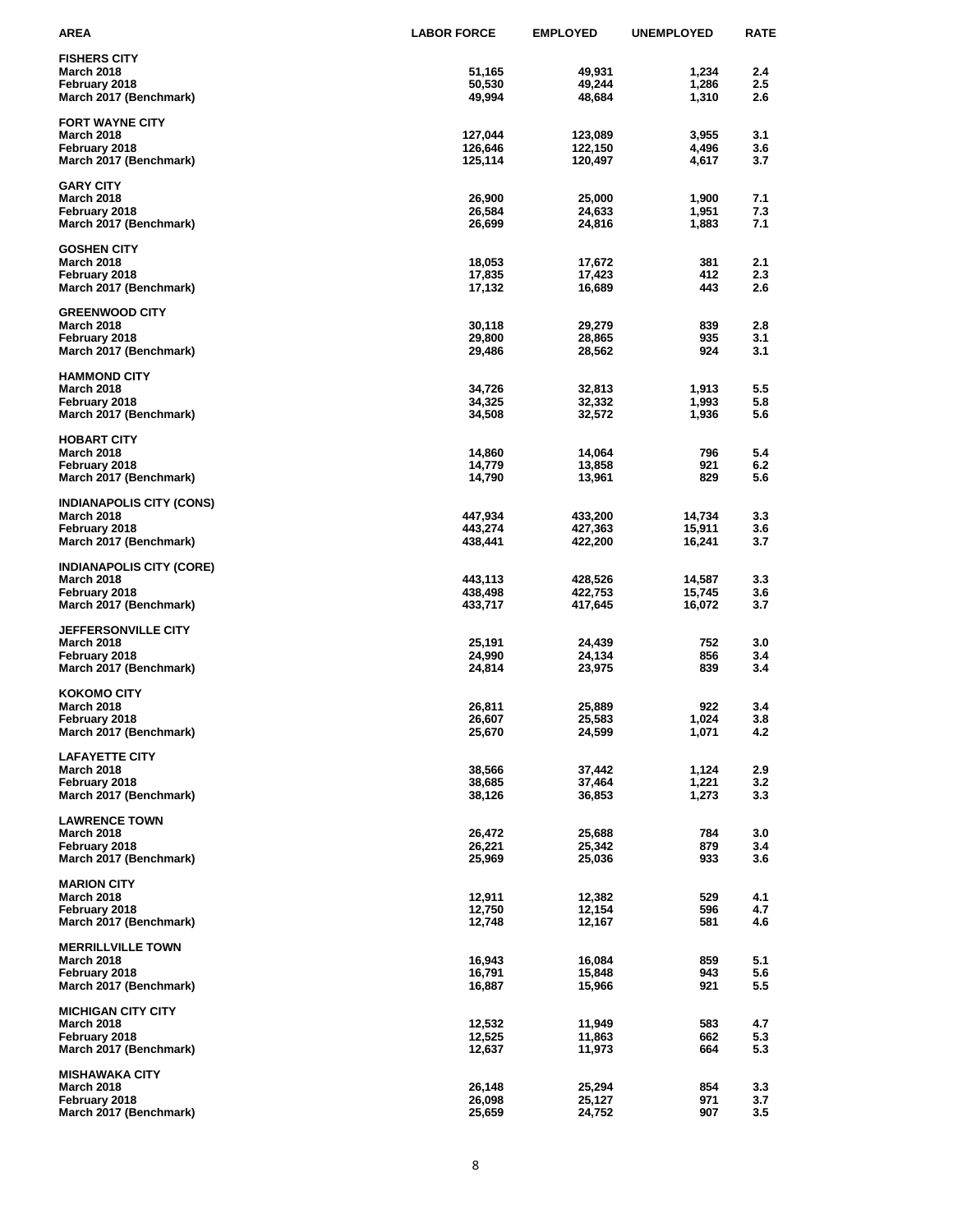| <b>AREA</b>                                   | <b>LABOR FORCE</b> | <b>EMPLOYED</b>    | <b>UNEMPLOYED</b> | <b>RATE</b> |
|-----------------------------------------------|--------------------|--------------------|-------------------|-------------|
| <b>FISHERS CITY</b>                           |                    |                    |                   |             |
| <b>March 2018</b>                             | 51,165             | 49,931             | 1,234             | 2.4         |
| February 2018                                 | 50,530             | 49,244             | 1,286             | 2.5         |
| March 2017 (Benchmark)                        | 49,994             | 48,684             | 1,310             | 2.6         |
| <b>FORT WAYNE CITY</b>                        |                    |                    |                   |             |
| <b>March 2018</b>                             | 127,044            | 123,089            | 3,955             | 3.1         |
| February 2018                                 | 126,646            | 122,150            | 4,496             | 3.6         |
| March 2017 (Benchmark)                        | 125,114            | 120,497            | 4,617             | 3.7         |
| <b>GARY CITY</b>                              |                    |                    |                   |             |
| <b>March 2018</b>                             | 26,900             | 25,000             | 1,900             | 7.1         |
| February 2018                                 | 26,584             | 24,633             | 1,951             | 7.3         |
| March 2017 (Benchmark)                        | 26,699             | 24,816             | 1,883             | 7.1         |
| <b>GOSHEN CITY</b>                            |                    |                    |                   |             |
| <b>March 2018</b>                             | 18,053             | 17,672             | 381               | 2.1         |
| February 2018                                 | 17,835             | 17,423             | 412               | 2.3         |
| March 2017 (Benchmark)                        | 17,132             | 16,689             | 443               | 2.6         |
| <b>GREENWOOD CITY</b>                         |                    |                    |                   |             |
| <b>March 2018</b>                             | 30,118             | 29,279             | 839               | 2.8         |
| February 2018                                 | 29,800             | 28,865             | 935               | 3.1         |
| March 2017 (Benchmark)                        | 29,486             | 28,562             | 924               | 3.1         |
|                                               |                    |                    |                   |             |
| <b>HAMMOND CITY</b><br><b>March 2018</b>      | 34,726             | 32,813             | 1,913             | 5.5         |
| February 2018                                 | 34,325             | 32,332             | 1,993             | 5.8         |
| March 2017 (Benchmark)                        | 34,508             | 32,572             | 1,936             | 5.6         |
|                                               |                    |                    |                   |             |
| <b>HOBART CITY</b>                            |                    |                    |                   |             |
| <b>March 2018</b><br>February 2018            | 14,860<br>14,779   | 14,064<br>13,858   | 796<br>921        | 5.4<br>6.2  |
| March 2017 (Benchmark)                        | 14,790             | 13,961             | 829               | 5.6         |
|                                               |                    |                    |                   |             |
| <b>INDIANAPOLIS CITY (CONS)</b>               |                    |                    |                   |             |
| <b>March 2018</b>                             | 447,934            | 433,200            | 14,734            | 3.3         |
| February 2018<br>March 2017 (Benchmark)       | 443,274<br>438,441 | 427,363<br>422,200 | 15,911<br>16,241  | 3.6<br>3.7  |
|                                               |                    |                    |                   |             |
| <b>INDIANAPOLIS CITY (CORE)</b>               |                    |                    |                   |             |
| <b>March 2018</b>                             | 443,113            | 428,526            | 14,587            | 3.3         |
| February 2018                                 | 438,498            | 422,753            | 15,745            | 3.6         |
| March 2017 (Benchmark)                        | 433,717            | 417,645            | 16,072            | 3.7         |
| <b>JEFFERSONVILLE CITY</b>                    |                    |                    |                   |             |
| <b>March 2018</b>                             | 25,191             | 24,439             | 752               | 3.0         |
| February 2018                                 | 24,990             | 24,134             | 856               | 3.4         |
| March 2017 (Benchmark)                        | 24,814             | 23,975             | 839               | 3.4         |
| <b>KOKOMO CITY</b>                            |                    |                    |                   |             |
| <b>March 2018</b>                             | 26,811             | 25,889             | 922               | 3.4         |
| February 2018                                 | 26,607             | 25,583             | 1,024             | 3.8         |
| March 2017 (Benchmark)                        | 25,670             | 24,599             | 1,071             | 4.2         |
| <b>LAFAYETTE CITY</b>                         |                    |                    |                   |             |
| <b>March 2018</b>                             | 38,566             | 37,442             | 1,124             | 2.9         |
| February 2018                                 | 38,685             | 37,464             | 1,221             | 3.2         |
| March 2017 (Benchmark)                        | 38,126             | 36,853             | 1,273             | 3.3         |
| <b>LAWRENCE TOWN</b>                          |                    |                    |                   |             |
| <b>March 2018</b>                             | 26,472             | 25,688             | 784               | 3.0         |
| February 2018                                 | 26,221             | 25,342             | 879               | 3.4         |
| March 2017 (Benchmark)                        | 25,969             | 25,036             | 933               | 3.6         |
| <b>MARION CITY</b>                            |                    |                    |                   |             |
| <b>March 2018</b>                             | 12,911             | 12,382             | 529               | 4.1         |
| February 2018                                 | 12,750             | 12,154             | 596               | 4.7         |
| March 2017 (Benchmark)                        | 12,748             | 12,167             | 581               | 4.6         |
|                                               |                    |                    |                   |             |
| <b>MERRILLVILLE TOWN</b><br><b>March 2018</b> | 16,943             | 16,084             | 859               | 5.1         |
| February 2018                                 | 16,791             | 15,848             | 943               | 5.6         |
| March 2017 (Benchmark)                        | 16,887             | 15,966             | 921               | 5.5         |
|                                               |                    |                    |                   |             |
| <b>MICHIGAN CITY CITY</b>                     |                    |                    |                   |             |
| <b>March 2018</b><br>February 2018            | 12,532<br>12,525   | 11,949<br>11,863   | 583<br>662        | 4.7<br>5.3  |
| March 2017 (Benchmark)                        | 12,637             | 11,973             | 664               | 5.3         |
|                                               |                    |                    |                   |             |
| <b>MISHAWAKA CITY</b>                         |                    |                    |                   |             |
| <b>March 2018</b><br>February 2018            | 26,148<br>26,098   | 25,294<br>25,127   | 854<br>971        | 3.3         |
| March 2017 (Benchmark)                        | 25,659             | 24,752             | 907               | 3.7<br>3.5  |
|                                               |                    |                    |                   |             |